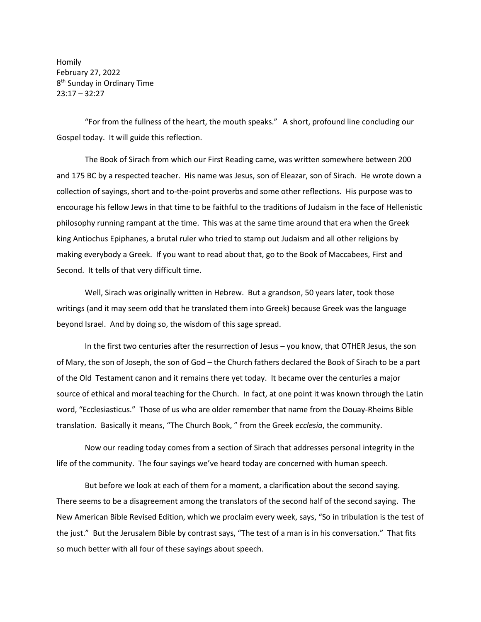Homily February 27, 2022 8<sup>th</sup> Sunday in Ordinary Time 23:17 – 32:27

"For from the fullness of the heart, the mouth speaks." A short, profound line concluding our Gospel today. It will guide this reflection.

The Book of Sirach from which our First Reading came, was written somewhere between 200 and 175 BC by a respected teacher. His name was Jesus, son of Eleazar, son of Sirach. He wrote down a collection of sayings, short and to-the-point proverbs and some other reflections. His purpose was to encourage his fellow Jews in that time to be faithful to the traditions of Judaism in the face of Hellenistic philosophy running rampant at the time. This was at the same time around that era when the Greek king Antiochus Epiphanes, a brutal ruler who tried to stamp out Judaism and all other religions by making everybody a Greek. If you want to read about that, go to the Book of Maccabees, First and Second. It tells of that very difficult time.

Well, Sirach was originally written in Hebrew. But a grandson, 50 years later, took those writings (and it may seem odd that he translated them into Greek) because Greek was the language beyond Israel. And by doing so, the wisdom of this sage spread.

In the first two centuries after the resurrection of Jesus – you know, that OTHER Jesus, the son of Mary, the son of Joseph, the son of God – the Church fathers declared the Book of Sirach to be a part of the Old Testament canon and it remains there yet today. It became over the centuries a major source of ethical and moral teaching for the Church. In fact, at one point it was known through the Latin word, "Ecclesiasticus." Those of us who are older remember that name from the Douay-Rheims Bible translation. Basically it means, "The Church Book, " from the Greek *ecclesia*, the community.

Now our reading today comes from a section of Sirach that addresses personal integrity in the life of the community. The four sayings we've heard today are concerned with human speech.

But before we look at each of them for a moment, a clarification about the second saying. There seems to be a disagreement among the translators of the second half of the second saying. The New American Bible Revised Edition, which we proclaim every week, says, "So in tribulation is the test of the just." But the Jerusalem Bible by contrast says, "The test of a man is in his conversation." That fits so much better with all four of these sayings about speech.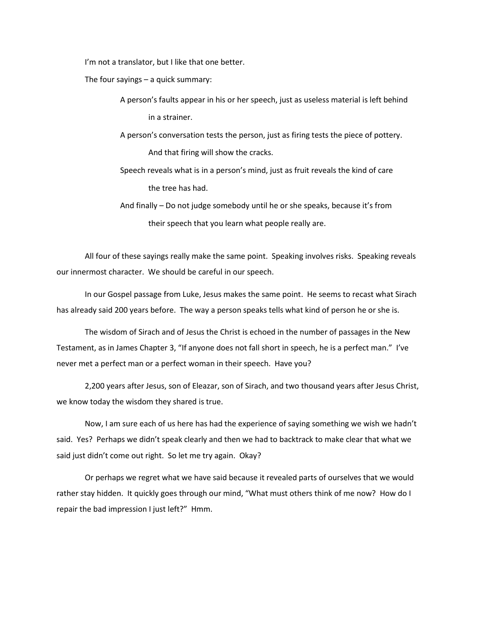I'm not a translator, but I like that one better.

The four sayings – a quick summary:

A person's faults appear in his or her speech, just as useless material is left behind in a strainer.

A person's conversation tests the person, just as firing tests the piece of pottery. And that firing will show the cracks.

Speech reveals what is in a person's mind, just as fruit reveals the kind of care the tree has had.

And finally – Do not judge somebody until he or she speaks, because it's from their speech that you learn what people really are.

All four of these sayings really make the same point. Speaking involves risks. Speaking reveals our innermost character. We should be careful in our speech.

In our Gospel passage from Luke, Jesus makes the same point. He seems to recast what Sirach has already said 200 years before. The way a person speaks tells what kind of person he or she is.

The wisdom of Sirach and of Jesus the Christ is echoed in the number of passages in the New Testament, as in James Chapter 3, "If anyone does not fall short in speech, he is a perfect man." I've never met a perfect man or a perfect woman in their speech. Have you?

2,200 years after Jesus, son of Eleazar, son of Sirach, and two thousand years after Jesus Christ, we know today the wisdom they shared is true.

Now, I am sure each of us here has had the experience of saying something we wish we hadn't said. Yes? Perhaps we didn't speak clearly and then we had to backtrack to make clear that what we said just didn't come out right. So let me try again. Okay?

Or perhaps we regret what we have said because it revealed parts of ourselves that we would rather stay hidden. It quickly goes through our mind, "What must others think of me now? How do I repair the bad impression I just left?" Hmm.